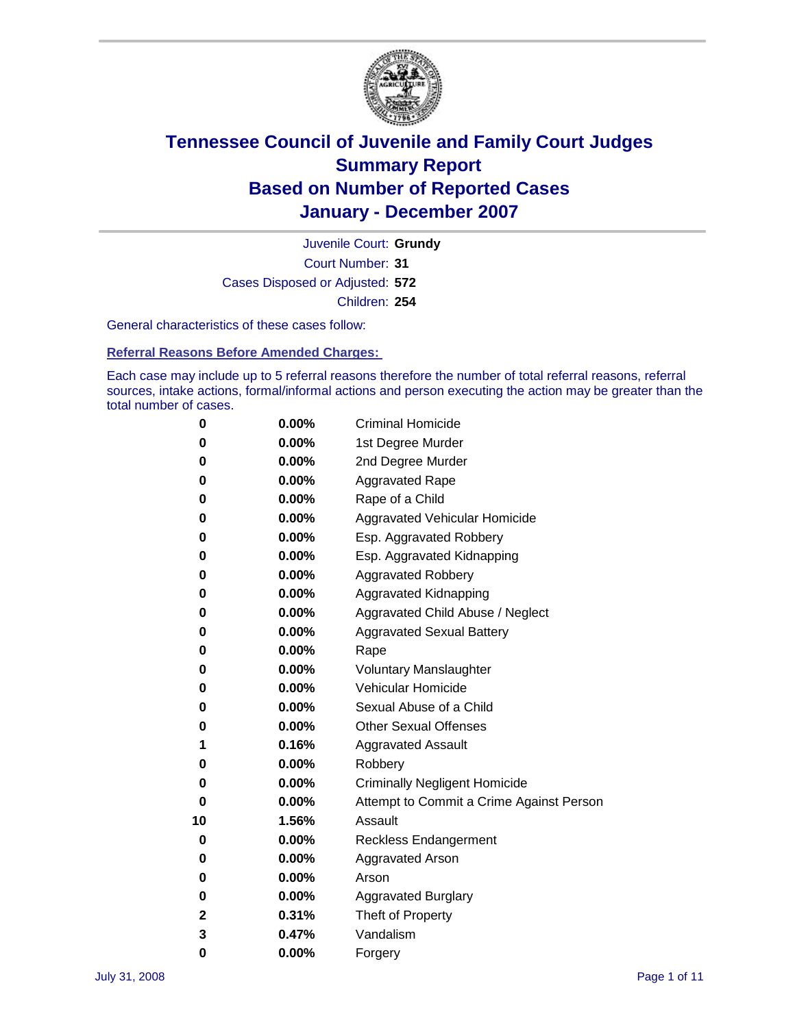

Court Number: **31** Juvenile Court: **Grundy** Cases Disposed or Adjusted: **572** Children: **254**

General characteristics of these cases follow:

**Referral Reasons Before Amended Charges:** 

Each case may include up to 5 referral reasons therefore the number of total referral reasons, referral sources, intake actions, formal/informal actions and person executing the action may be greater than the total number of cases.

| 0  | 0.00%    | <b>Criminal Homicide</b>                 |
|----|----------|------------------------------------------|
| 0  | 0.00%    | 1st Degree Murder                        |
| 0  | $0.00\%$ | 2nd Degree Murder                        |
| 0  | 0.00%    | <b>Aggravated Rape</b>                   |
| 0  | 0.00%    | Rape of a Child                          |
| 0  | 0.00%    | Aggravated Vehicular Homicide            |
| 0  | 0.00%    | Esp. Aggravated Robbery                  |
| 0  | 0.00%    | Esp. Aggravated Kidnapping               |
| 0  | 0.00%    | <b>Aggravated Robbery</b>                |
| 0  | 0.00%    | Aggravated Kidnapping                    |
| 0  | 0.00%    | Aggravated Child Abuse / Neglect         |
| 0  | $0.00\%$ | <b>Aggravated Sexual Battery</b>         |
| 0  | 0.00%    | Rape                                     |
| 0  | 0.00%    | <b>Voluntary Manslaughter</b>            |
| 0  | 0.00%    | Vehicular Homicide                       |
| 0  | 0.00%    | Sexual Abuse of a Child                  |
| 0  | 0.00%    | <b>Other Sexual Offenses</b>             |
| 1  | 0.16%    | <b>Aggravated Assault</b>                |
| 0  | $0.00\%$ | Robbery                                  |
| 0  | 0.00%    | <b>Criminally Negligent Homicide</b>     |
| 0  | 0.00%    | Attempt to Commit a Crime Against Person |
| 10 | 1.56%    | Assault                                  |
| 0  | 0.00%    | <b>Reckless Endangerment</b>             |
| 0  | 0.00%    | <b>Aggravated Arson</b>                  |
| 0  | 0.00%    | Arson                                    |
| 0  | 0.00%    | <b>Aggravated Burglary</b>               |
| 2  | 0.31%    | Theft of Property                        |
| 3  | 0.47%    | Vandalism                                |
| 0  | 0.00%    | Forgery                                  |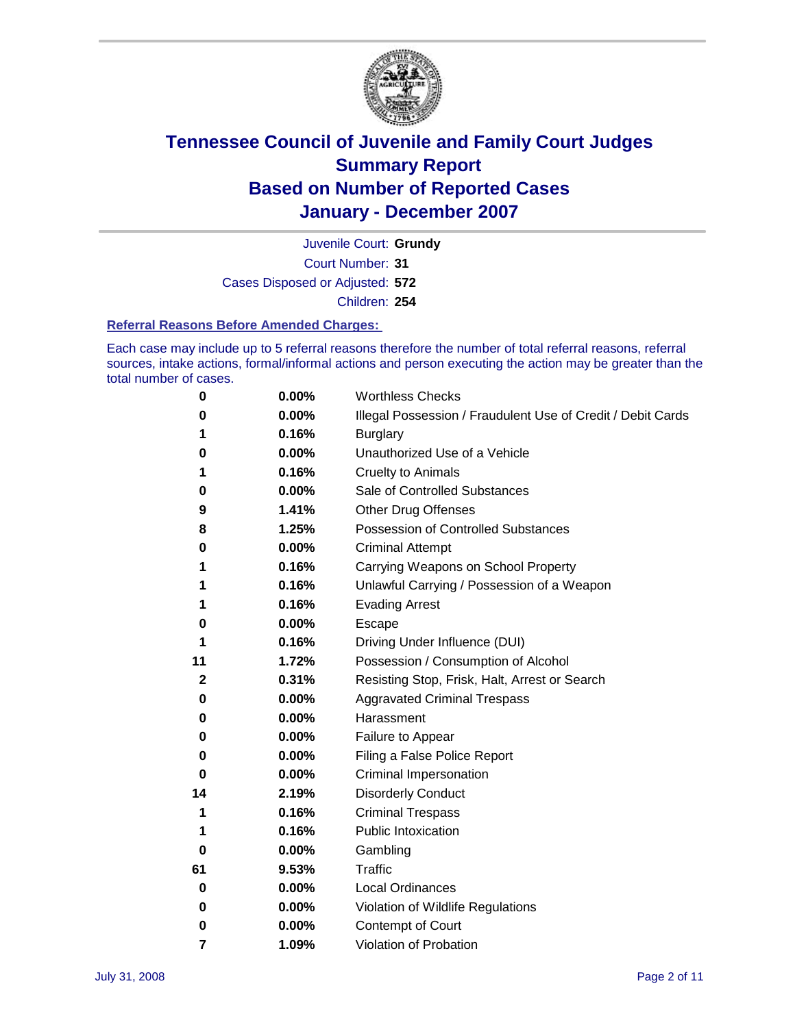

Court Number: **31** Juvenile Court: **Grundy** Cases Disposed or Adjusted: **572** Children: **254**

#### **Referral Reasons Before Amended Charges:**

Each case may include up to 5 referral reasons therefore the number of total referral reasons, referral sources, intake actions, formal/informal actions and person executing the action may be greater than the total number of cases.

| 0            | 0.00% | <b>Worthless Checks</b>                                     |
|--------------|-------|-------------------------------------------------------------|
| 0            | 0.00% | Illegal Possession / Fraudulent Use of Credit / Debit Cards |
| 1            | 0.16% | <b>Burglary</b>                                             |
| 0            | 0.00% | Unauthorized Use of a Vehicle                               |
| 1            | 0.16% | <b>Cruelty to Animals</b>                                   |
| 0            | 0.00% | Sale of Controlled Substances                               |
| 9            | 1.41% | <b>Other Drug Offenses</b>                                  |
| 8            | 1.25% | <b>Possession of Controlled Substances</b>                  |
| 0            | 0.00% | <b>Criminal Attempt</b>                                     |
| 1            | 0.16% | Carrying Weapons on School Property                         |
| 1            | 0.16% | Unlawful Carrying / Possession of a Weapon                  |
| 1            | 0.16% | <b>Evading Arrest</b>                                       |
| 0            | 0.00% | <b>Escape</b>                                               |
| 1            | 0.16% | Driving Under Influence (DUI)                               |
| 11           | 1.72% | Possession / Consumption of Alcohol                         |
| $\mathbf{2}$ | 0.31% | Resisting Stop, Frisk, Halt, Arrest or Search               |
| 0            | 0.00% | <b>Aggravated Criminal Trespass</b>                         |
| 0            | 0.00% | Harassment                                                  |
| 0            | 0.00% | Failure to Appear                                           |
| 0            | 0.00% | Filing a False Police Report                                |
| 0            | 0.00% | Criminal Impersonation                                      |
| 14           | 2.19% | <b>Disorderly Conduct</b>                                   |
| 1            | 0.16% | <b>Criminal Trespass</b>                                    |
| 1            | 0.16% | <b>Public Intoxication</b>                                  |
| 0            | 0.00% | Gambling                                                    |
| 61           | 9.53% | Traffic                                                     |
| 0            | 0.00% | <b>Local Ordinances</b>                                     |
| 0            | 0.00% | Violation of Wildlife Regulations                           |
| 0            | 0.00% | Contempt of Court                                           |
| 7            | 1.09% | Violation of Probation                                      |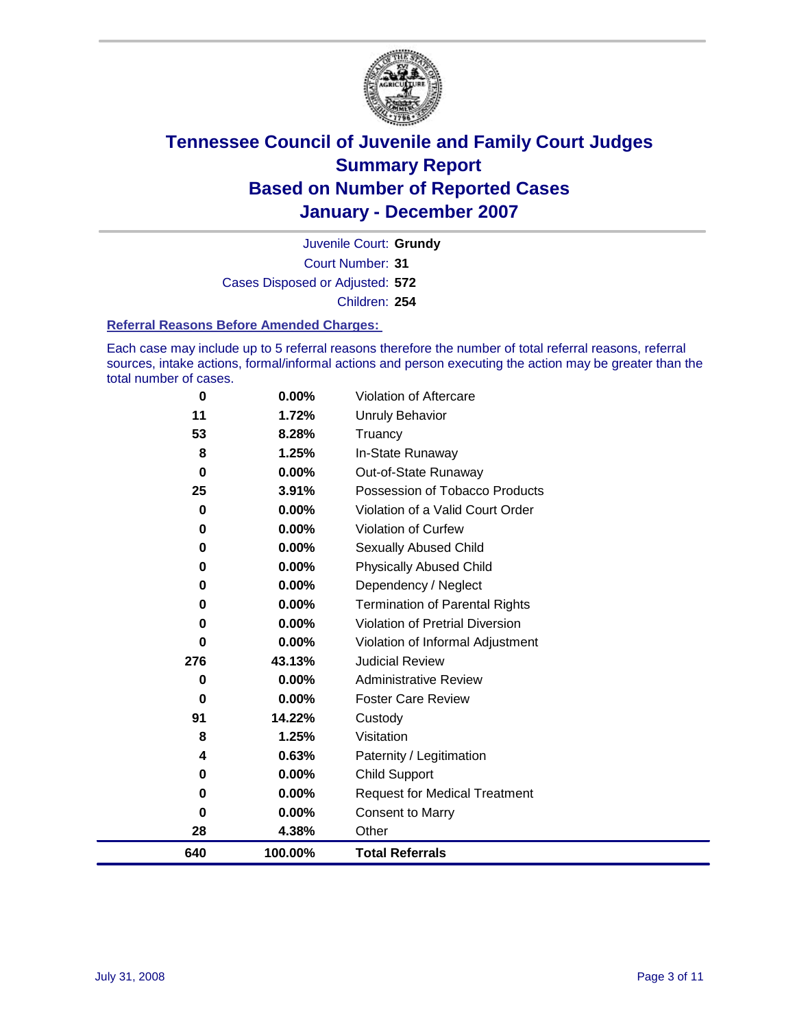

Court Number: **31** Juvenile Court: **Grundy** Cases Disposed or Adjusted: **572** Children: **254**

#### **Referral Reasons Before Amended Charges:**

Each case may include up to 5 referral reasons therefore the number of total referral reasons, referral sources, intake actions, formal/informal actions and person executing the action may be greater than the total number of cases.

| 0        | 0.00%   | Violation of Aftercare                 |
|----------|---------|----------------------------------------|
| 11       | 1.72%   | Unruly Behavior                        |
| 53       | 8.28%   | Truancy                                |
| 8        | 1.25%   | In-State Runaway                       |
| $\bf{0}$ | 0.00%   | Out-of-State Runaway                   |
| 25       | 3.91%   | Possession of Tobacco Products         |
| 0        | 0.00%   | Violation of a Valid Court Order       |
| $\bf{0}$ | 0.00%   | Violation of Curfew                    |
| 0        | 0.00%   | Sexually Abused Child                  |
| 0        | 0.00%   | <b>Physically Abused Child</b>         |
| 0        | 0.00%   | Dependency / Neglect                   |
| $\bf{0}$ | 0.00%   | <b>Termination of Parental Rights</b>  |
| 0        | 0.00%   | <b>Violation of Pretrial Diversion</b> |
| 0        | 0.00%   | Violation of Informal Adjustment       |
| 276      | 43.13%  | <b>Judicial Review</b>                 |
| 0        | 0.00%   | <b>Administrative Review</b>           |
| $\bf{0}$ | 0.00%   | <b>Foster Care Review</b>              |
| 91       | 14.22%  | Custody                                |
| 8        | 1.25%   | Visitation                             |
| 4        | 0.63%   | Paternity / Legitimation               |
| 0        | 0.00%   | Child Support                          |
| 0        | 0.00%   | <b>Request for Medical Treatment</b>   |
| $\bf{0}$ | 0.00%   | <b>Consent to Marry</b>                |
| 28       | 4.38%   | Other                                  |
| 640      | 100.00% | <b>Total Referrals</b>                 |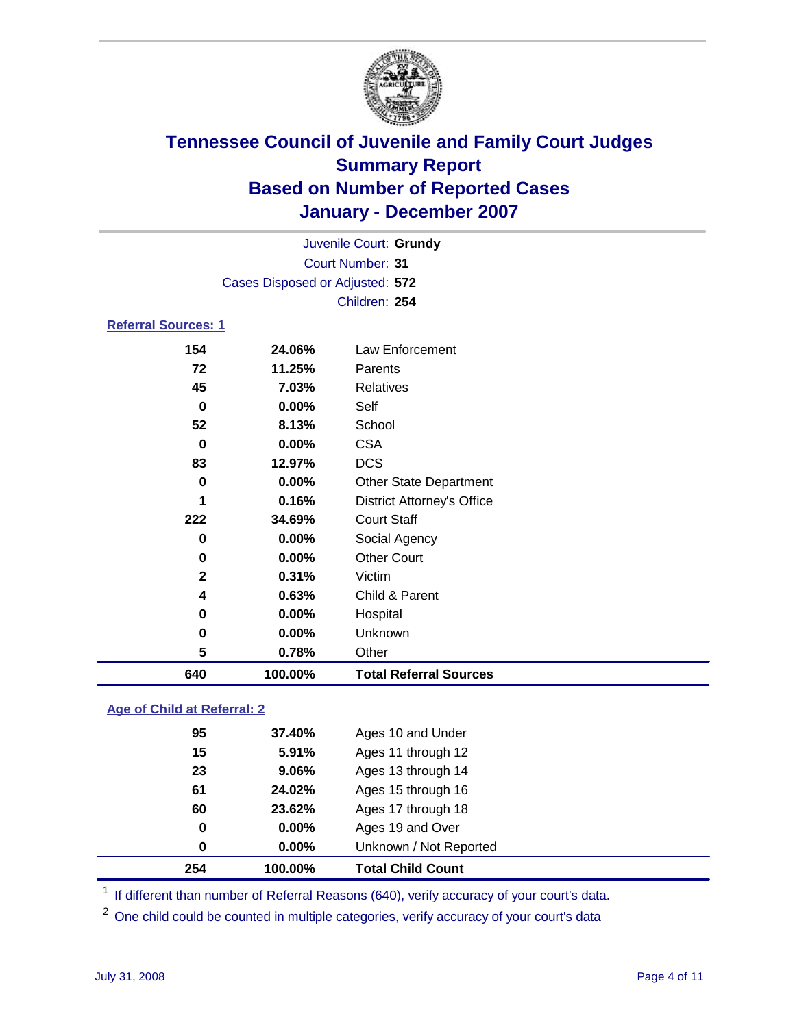

| Juvenile Court: Grundy          |  |
|---------------------------------|--|
| Court Number: 31                |  |
| Cases Disposed or Adjusted: 572 |  |
| Children: 254                   |  |
| <b>Referral Sources: 1</b>      |  |

| 154          | 24.06%   | Law Enforcement                   |
|--------------|----------|-----------------------------------|
| 72           | 11.25%   | Parents                           |
| 45           | 7.03%    | Relatives                         |
| 0            | 0.00%    | Self                              |
| 52           | 8.13%    | School                            |
| 0            | 0.00%    | <b>CSA</b>                        |
| 83           | 12.97%   | <b>DCS</b>                        |
| 0            | 0.00%    | <b>Other State Department</b>     |
| 1            | 0.16%    | <b>District Attorney's Office</b> |
| 222          | 34.69%   | <b>Court Staff</b>                |
| 0            | 0.00%    | Social Agency                     |
| 0            | $0.00\%$ | <b>Other Court</b>                |
| $\mathbf{2}$ | 0.31%    | Victim                            |
| 4            | 0.63%    | Child & Parent                    |
| 0            | 0.00%    | Hospital                          |
| 0            | 0.00%    | Unknown                           |
| 5            | 0.78%    | Other                             |
| 640          | 100.00%  | <b>Total Referral Sources</b>     |

### **Age of Child at Referral: 2**

| 254 | 100.00%  | <b>Total Child Count</b> |
|-----|----------|--------------------------|
| 0   | 0.00%    | Unknown / Not Reported   |
| 0   | $0.00\%$ | Ages 19 and Over         |
| 60  | 23.62%   | Ages 17 through 18       |
| 61  | 24.02%   | Ages 15 through 16       |
| 23  | 9.06%    | Ages 13 through 14       |
| 15  | 5.91%    | Ages 11 through 12       |
| 95  | 37.40%   | Ages 10 and Under        |
|     |          |                          |

<sup>1</sup> If different than number of Referral Reasons (640), verify accuracy of your court's data.

One child could be counted in multiple categories, verify accuracy of your court's data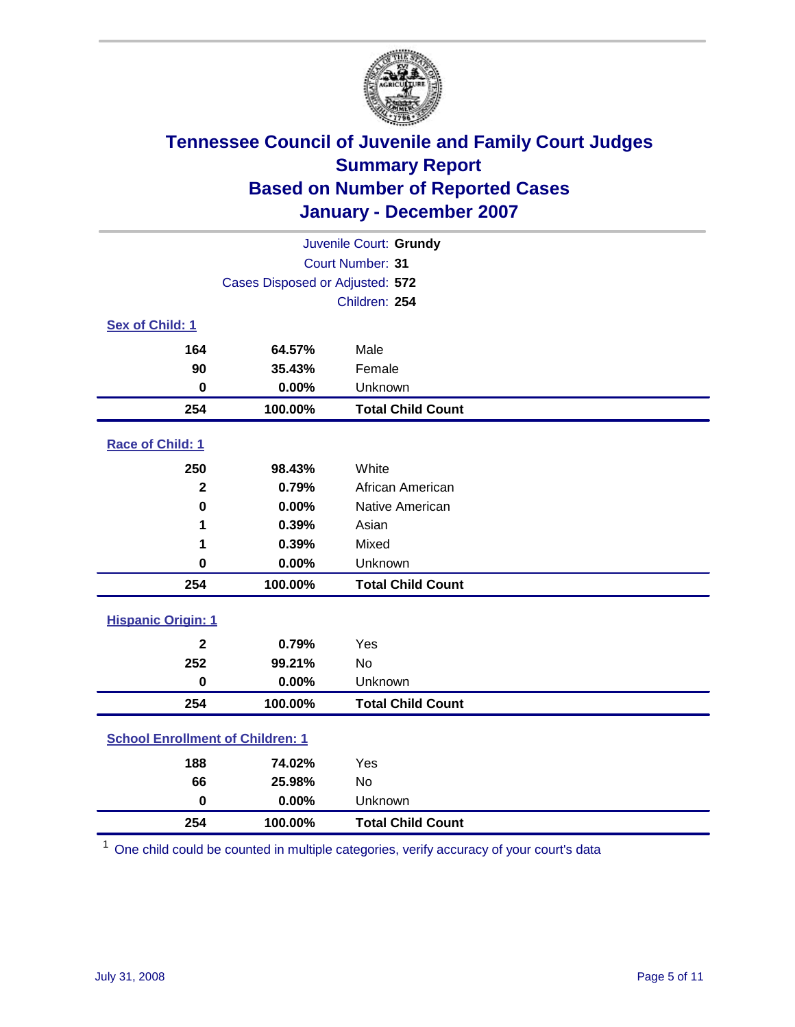

| Juvenile Court: Grundy                  |                                 |                          |  |  |  |
|-----------------------------------------|---------------------------------|--------------------------|--|--|--|
| <b>Court Number: 31</b>                 |                                 |                          |  |  |  |
|                                         | Cases Disposed or Adjusted: 572 |                          |  |  |  |
|                                         |                                 | Children: 254            |  |  |  |
| Sex of Child: 1                         |                                 |                          |  |  |  |
| 164                                     | 64.57%                          | Male                     |  |  |  |
| 90                                      | 35.43%                          | Female                   |  |  |  |
| $\bf{0}$                                | 0.00%                           | Unknown                  |  |  |  |
| 254                                     | 100.00%                         | <b>Total Child Count</b> |  |  |  |
| Race of Child: 1                        |                                 |                          |  |  |  |
| 250                                     | 98.43%                          | White                    |  |  |  |
| $\mathbf 2$                             | 0.79%                           | African American         |  |  |  |
| $\bf{0}$                                | 0.00%                           | Native American          |  |  |  |
| 1                                       | 0.39%                           | Asian                    |  |  |  |
| 1                                       | 0.39%                           | Mixed                    |  |  |  |
| $\mathbf 0$                             | 0.00%                           | Unknown                  |  |  |  |
| 254                                     | 100.00%                         | <b>Total Child Count</b> |  |  |  |
| <b>Hispanic Origin: 1</b>               |                                 |                          |  |  |  |
| $\mathbf{2}$                            | 0.79%                           | Yes                      |  |  |  |
| 252                                     | 99.21%                          | <b>No</b>                |  |  |  |
| $\mathbf 0$                             | 0.00%                           | Unknown                  |  |  |  |
| 254                                     | 100.00%                         | <b>Total Child Count</b> |  |  |  |
| <b>School Enrollment of Children: 1</b> |                                 |                          |  |  |  |
| 188                                     | 74.02%                          | Yes                      |  |  |  |
| 66                                      | 25.98%                          | No                       |  |  |  |
| $\mathbf 0$                             | 0.00%                           | Unknown                  |  |  |  |
| 254                                     | 100.00%                         | <b>Total Child Count</b> |  |  |  |

One child could be counted in multiple categories, verify accuracy of your court's data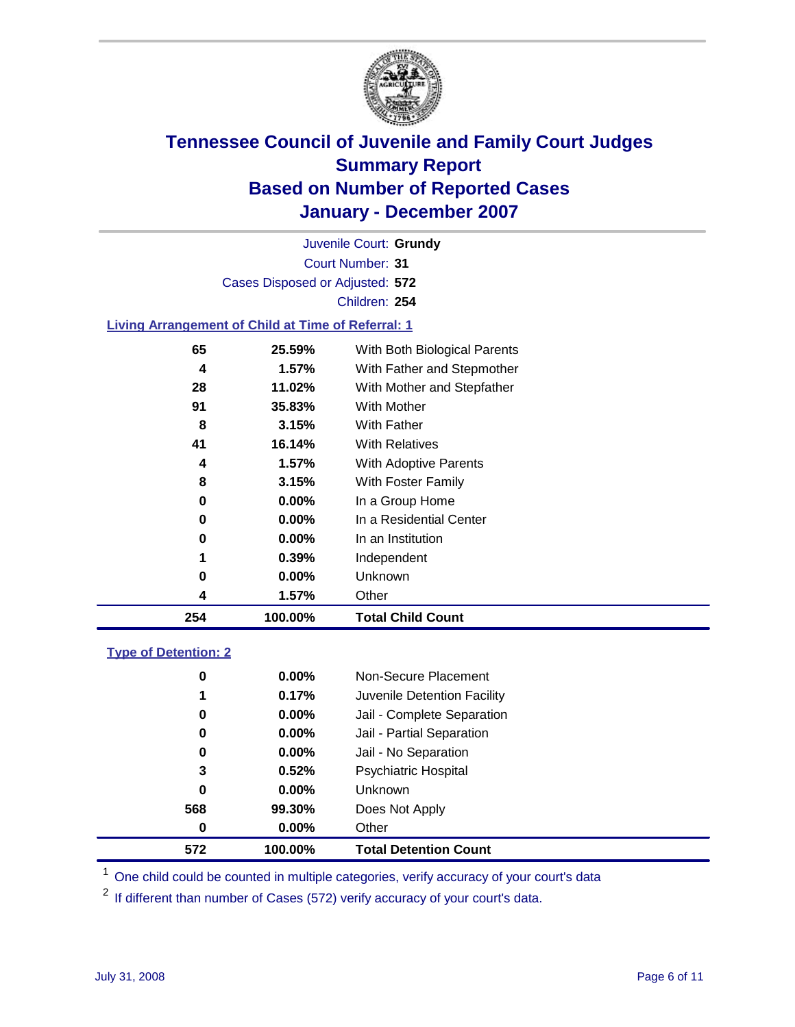

Court Number: **31** Juvenile Court: **Grundy** Cases Disposed or Adjusted: **572** Children: **254**

### **Living Arrangement of Child at Time of Referral: 1**

| 4  | 1.57%    | Other                        |
|----|----------|------------------------------|
| 0  | 0.00%    | Unknown                      |
| 1  | 0.39%    | Independent                  |
| 0  | 0.00%    | In an Institution            |
| 0  | $0.00\%$ | In a Residential Center      |
| 0  | 0.00%    | In a Group Home              |
| 8  | 3.15%    | With Foster Family           |
| 4  | 1.57%    | With Adoptive Parents        |
| 41 | 16.14%   | <b>With Relatives</b>        |
| 8  | 3.15%    | With Father                  |
| 91 | 35.83%   | With Mother                  |
| 28 | 11.02%   | With Mother and Stepfather   |
| 4  | $1.57\%$ | With Father and Stepmother   |
| 65 | 25.59%   | With Both Biological Parents |
|    |          |                              |

#### **Type of Detention: 2**

| 572 | 100.00%  | <b>Total Detention Count</b> |  |
|-----|----------|------------------------------|--|
| 0   | 0.00%    | Other                        |  |
| 568 | 99.30%   | Does Not Apply               |  |
| 0   | 0.00%    | <b>Unknown</b>               |  |
| 3   | 0.52%    | <b>Psychiatric Hospital</b>  |  |
| 0   | 0.00%    | Jail - No Separation         |  |
| 0   | $0.00\%$ | Jail - Partial Separation    |  |
| 0   | 0.00%    | Jail - Complete Separation   |  |
| 1   | 0.17%    | Juvenile Detention Facility  |  |
| 0   | 0.00%    | Non-Secure Placement         |  |
|     |          |                              |  |

<sup>1</sup> One child could be counted in multiple categories, verify accuracy of your court's data

<sup>2</sup> If different than number of Cases (572) verify accuracy of your court's data.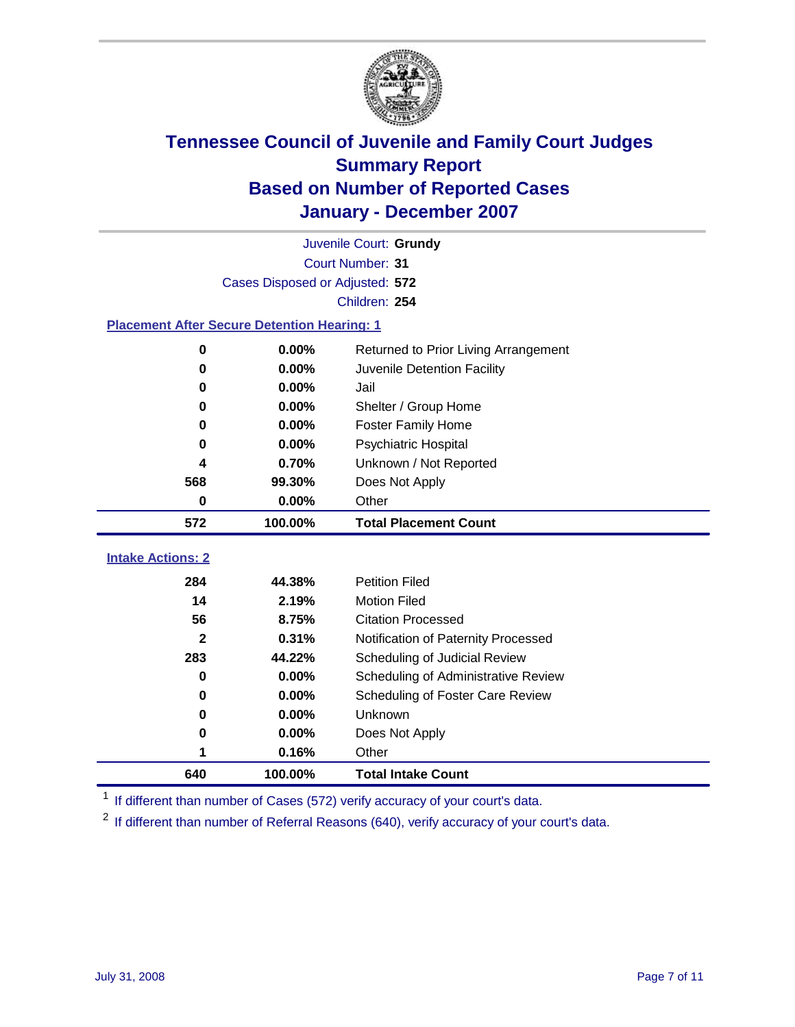

|                                                    | Juvenile Court: Grundy          |                                      |  |  |  |
|----------------------------------------------------|---------------------------------|--------------------------------------|--|--|--|
| Court Number: 31                                   |                                 |                                      |  |  |  |
|                                                    | Cases Disposed or Adjusted: 572 |                                      |  |  |  |
|                                                    |                                 | Children: 254                        |  |  |  |
| <b>Placement After Secure Detention Hearing: 1</b> |                                 |                                      |  |  |  |
| 0                                                  | 0.00%                           | Returned to Prior Living Arrangement |  |  |  |
| 0                                                  | 0.00%                           | Juvenile Detention Facility          |  |  |  |
| 0                                                  | 0.00%                           | Jail                                 |  |  |  |
| 0                                                  | 0.00%                           | Shelter / Group Home                 |  |  |  |
| 0                                                  | 0.00%                           | <b>Foster Family Home</b>            |  |  |  |
| 0                                                  | 0.00%                           | Psychiatric Hospital                 |  |  |  |
| 4                                                  | 0.70%                           | Unknown / Not Reported               |  |  |  |
| 568                                                | 99.30%                          | Does Not Apply                       |  |  |  |
| 0                                                  | 0.00%                           | Other                                |  |  |  |
| 572                                                | 100.00%                         | <b>Total Placement Count</b>         |  |  |  |
| <b>Intake Actions: 2</b>                           |                                 |                                      |  |  |  |
|                                                    |                                 |                                      |  |  |  |
| 284                                                | 44.38%                          | <b>Petition Filed</b>                |  |  |  |
| 14                                                 | 2.19%                           | <b>Motion Filed</b>                  |  |  |  |
| 56                                                 | 8.75%                           | <b>Citation Processed</b>            |  |  |  |
| $\mathbf{2}$                                       | 0.31%                           | Notification of Paternity Processed  |  |  |  |
| 283                                                | 44.22%                          | Scheduling of Judicial Review        |  |  |  |
| 0                                                  | 0.00%                           | Scheduling of Administrative Review  |  |  |  |
| 0                                                  | 0.00%                           | Scheduling of Foster Care Review     |  |  |  |
| 0                                                  | 0.00%                           | Unknown                              |  |  |  |
| 0                                                  | 0.00%                           | Does Not Apply                       |  |  |  |
| 1                                                  | 0.16%                           | Other                                |  |  |  |
| 640                                                |                                 |                                      |  |  |  |

<sup>1</sup> If different than number of Cases (572) verify accuracy of your court's data.

<sup>2</sup> If different than number of Referral Reasons (640), verify accuracy of your court's data.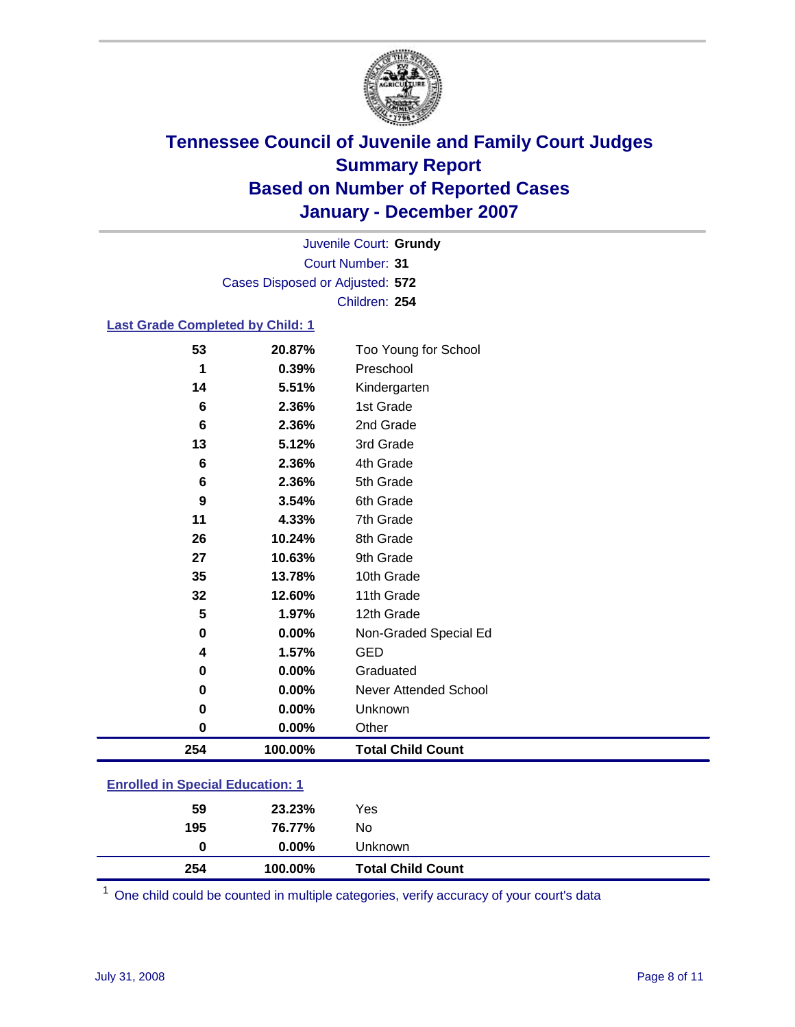

Court Number: **31** Juvenile Court: **Grundy** Cases Disposed or Adjusted: **572** Children: **254**

### **Last Grade Completed by Child: 1**

| 254 | 100.00% | <b>Total Child Count</b> |
|-----|---------|--------------------------|
| 0   | 0.00%   | Other                    |
| 0   | 0.00%   | Unknown                  |
| 0   | 0.00%   | Never Attended School    |
| 0   | 0.00%   | Graduated                |
| 4   | 1.57%   | <b>GED</b>               |
| 0   | 0.00%   | Non-Graded Special Ed    |
| 5   | 1.97%   | 12th Grade               |
| 32  | 12.60%  | 11th Grade               |
| 35  | 13.78%  | 10th Grade               |
| 27  | 10.63%  | 9th Grade                |
| 26  | 10.24%  | 8th Grade                |
| 11  | 4.33%   | 7th Grade                |
| 9   | 3.54%   | 6th Grade                |
| 6   | 2.36%   | 5th Grade                |
| 6   | 2.36%   | 4th Grade                |
| 13  | 5.12%   | 3rd Grade                |
| 6   | 2.36%   | 2nd Grade                |
| 6   | 2.36%   | 1st Grade                |
| 14  | 5.51%   | Kindergarten             |
| 1   | 0.39%   | Preschool                |
| 53  | 20.87%  | Too Young for School     |

### **Enrolled in Special Education: 1**

| 254 | 100.00%  | <b>Total Child Count</b> |  |
|-----|----------|--------------------------|--|
| 0   | $0.00\%$ | Unknown                  |  |
| 195 | 76.77%   | No                       |  |
| 59  | 23.23%   | Yes                      |  |

One child could be counted in multiple categories, verify accuracy of your court's data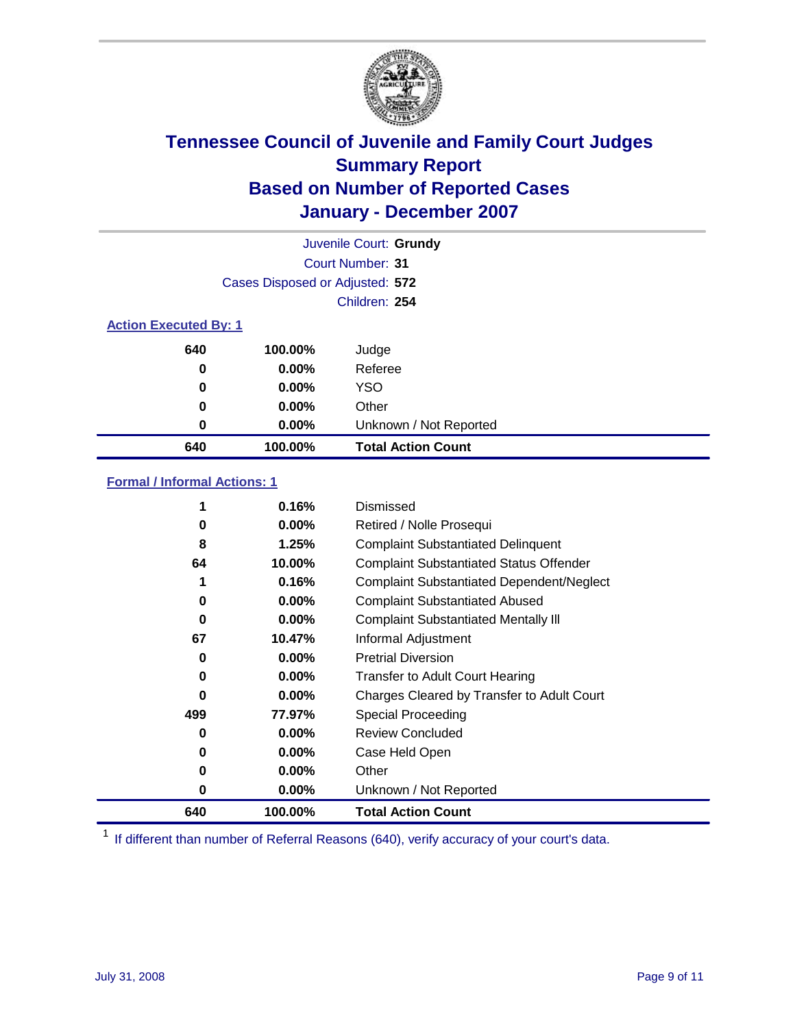

|                              |                                 | Juvenile Court: Grundy    |
|------------------------------|---------------------------------|---------------------------|
|                              |                                 | Court Number: 31          |
|                              | Cases Disposed or Adjusted: 572 |                           |
|                              |                                 | Children: 254             |
| <b>Action Executed By: 1</b> |                                 |                           |
| 640                          | 100.00%                         | Judge                     |
| 0                            | $0.00\%$                        | Referee                   |
| 0                            | $0.00\%$                        | <b>YSO</b>                |
| 0                            | $0.00\%$                        | Other                     |
| 0                            | $0.00\%$                        | Unknown / Not Reported    |
| 640                          | 100.00%                         | <b>Total Action Count</b> |

### **Formal / Informal Actions: 1**

| 1   | 0.16%    | Dismissed                                        |
|-----|----------|--------------------------------------------------|
| 0   | $0.00\%$ | Retired / Nolle Prosequi                         |
| 8   | 1.25%    | <b>Complaint Substantiated Delinquent</b>        |
| 64  | 10.00%   | <b>Complaint Substantiated Status Offender</b>   |
| 1   | 0.16%    | <b>Complaint Substantiated Dependent/Neglect</b> |
| 0   | $0.00\%$ | <b>Complaint Substantiated Abused</b>            |
| 0   | $0.00\%$ | <b>Complaint Substantiated Mentally III</b>      |
| 67  | 10.47%   | Informal Adjustment                              |
| 0   | $0.00\%$ | <b>Pretrial Diversion</b>                        |
| 0   | $0.00\%$ | <b>Transfer to Adult Court Hearing</b>           |
| 0   | $0.00\%$ | Charges Cleared by Transfer to Adult Court       |
| 499 | 77.97%   | Special Proceeding                               |
| 0   | $0.00\%$ | <b>Review Concluded</b>                          |
| 0   | $0.00\%$ | Case Held Open                                   |
| 0   | $0.00\%$ | Other                                            |
| 0   | 0.00%    | Unknown / Not Reported                           |
| 640 | 100.00%  | <b>Total Action Count</b>                        |

<sup>1</sup> If different than number of Referral Reasons (640), verify accuracy of your court's data.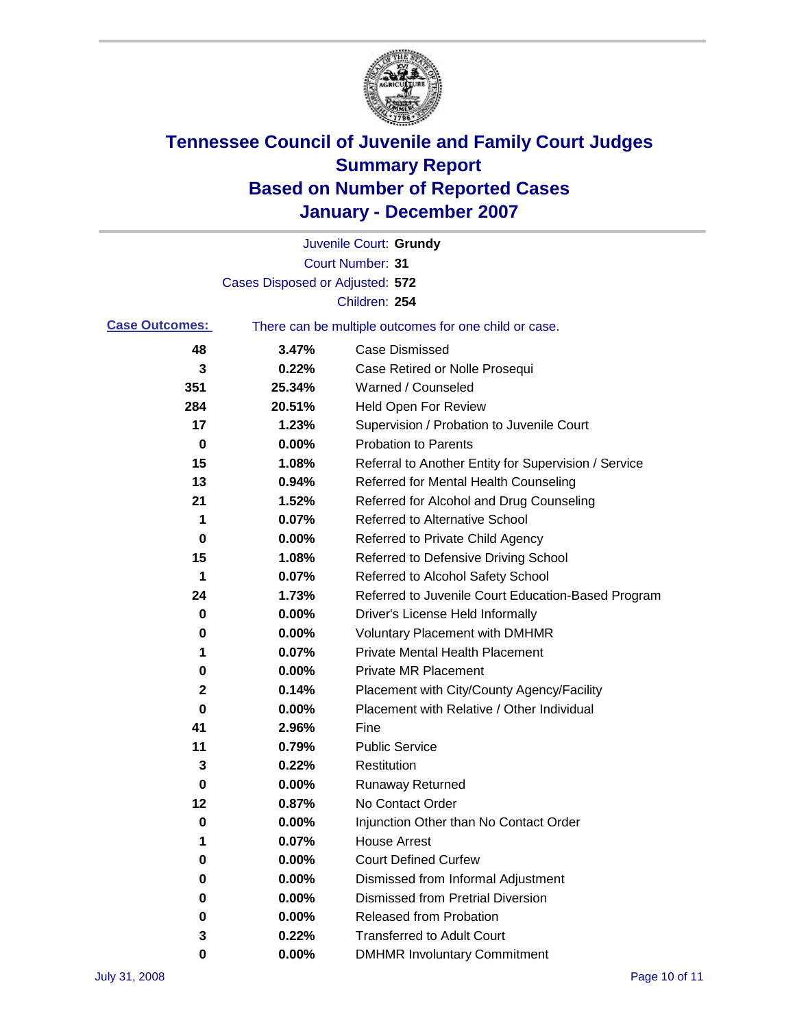

|                       |                                 | Juvenile Court: Grundy                                |
|-----------------------|---------------------------------|-------------------------------------------------------|
|                       |                                 | Court Number: 31                                      |
|                       | Cases Disposed or Adjusted: 572 |                                                       |
|                       |                                 | Children: 254                                         |
| <b>Case Outcomes:</b> |                                 | There can be multiple outcomes for one child or case. |
| 48                    | 3.47%                           | <b>Case Dismissed</b>                                 |
| 3                     | 0.22%                           | Case Retired or Nolle Prosequi                        |
| 351                   | 25.34%                          | Warned / Counseled                                    |
| 284                   | 20.51%                          | <b>Held Open For Review</b>                           |
| 17                    | 1.23%                           | Supervision / Probation to Juvenile Court             |
| 0                     | 0.00%                           | <b>Probation to Parents</b>                           |
| 15                    | 1.08%                           | Referral to Another Entity for Supervision / Service  |
| 13                    | 0.94%                           | Referred for Mental Health Counseling                 |
| 21                    | 1.52%                           | Referred for Alcohol and Drug Counseling              |
| 1                     | 0.07%                           | Referred to Alternative School                        |
| 0                     | 0.00%                           | Referred to Private Child Agency                      |
| 15                    | 1.08%                           | Referred to Defensive Driving School                  |
| 1                     | 0.07%                           | Referred to Alcohol Safety School                     |
| 24                    | 1.73%                           | Referred to Juvenile Court Education-Based Program    |
| 0                     | 0.00%                           | Driver's License Held Informally                      |
| 0                     | 0.00%                           | <b>Voluntary Placement with DMHMR</b>                 |
| 1                     | 0.07%                           | <b>Private Mental Health Placement</b>                |
| 0                     | 0.00%                           | <b>Private MR Placement</b>                           |
| 2                     | 0.14%                           | Placement with City/County Agency/Facility            |
| 0                     | 0.00%                           | Placement with Relative / Other Individual            |
| 41                    | 2.96%                           | Fine                                                  |
| 11                    | 0.79%                           | <b>Public Service</b>                                 |
| 3                     | 0.22%                           | Restitution                                           |
| 0                     | 0.00%                           | <b>Runaway Returned</b>                               |
| 12                    | 0.87%                           | No Contact Order                                      |
| 0                     | 0.00%                           | Injunction Other than No Contact Order                |
| 1                     | 0.07%                           | <b>House Arrest</b>                                   |
| 0                     | 0.00%                           | <b>Court Defined Curfew</b>                           |
| 0                     | 0.00%                           | Dismissed from Informal Adjustment                    |
| 0                     | 0.00%                           | <b>Dismissed from Pretrial Diversion</b>              |
| 0                     | 0.00%                           | Released from Probation                               |
| 3                     | 0.22%                           | <b>Transferred to Adult Court</b>                     |
| 0                     | 0.00%                           | <b>DMHMR Involuntary Commitment</b>                   |